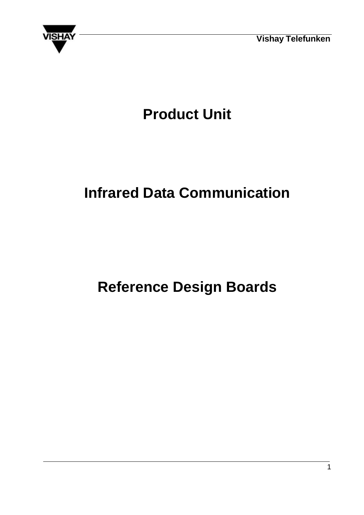



# **Product Unit**

# **Infrared Data Communication**

# **Reference Design Boards**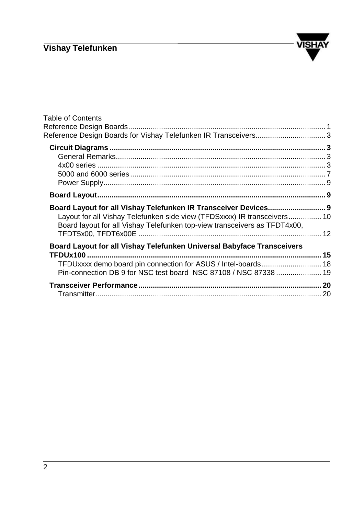

| <b>Table of Contents</b>                                                                                                                                                                                                 |  |
|--------------------------------------------------------------------------------------------------------------------------------------------------------------------------------------------------------------------------|--|
|                                                                                                                                                                                                                          |  |
|                                                                                                                                                                                                                          |  |
| Board Layout for all Vishay Telefunken IR Transceiver Devices 9<br>Layout for all Vishay Telefunken side view (TFDSxxxx) IR transceivers 10<br>Board layout for all Vishay Telefunken top-view transceivers as TFDT4x00, |  |
| Board Layout for all Vishay Telefunken Universal Babyface Transceivers                                                                                                                                                   |  |
| Pin-connection DB 9 for NSC test board NSC 87108 / NSC 87338  19                                                                                                                                                         |  |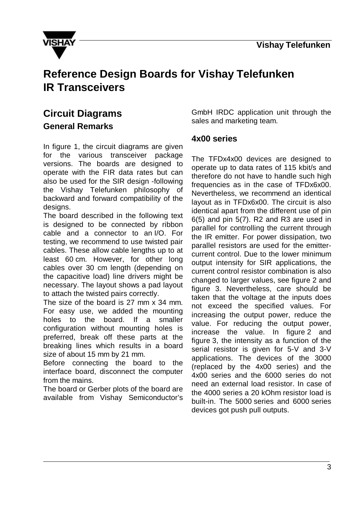

# **Reference Design Boards for Vishay Telefunken IR Transceivers**

## **Circuit Diagrams General Remarks**

In figure 1, the circuit diagrams are given for the various transceiver package versions. The boards are designed to operate with the FIR data rates but can also be used for the SIR design -following the Vishay Telefunken philosophy of backward and forward compatibility of the designs.

The board described in the following text is designed to be connected by ribbon cable and a connector to an I/O. For testing, we recommend to use twisted pair cables. These allow cable lengths up to at least 60 cm. However, for other long cables over 30 cm length (depending on the capacitive load) line drivers might be necessary. The layout shows a pad layout to attach the twisted pairs correctly.

The size of the board is 27 mm x 34 mm. For easy use, we added the mounting holes to the board. If a smaller configuration without mounting holes is preferred, break off these parts at the breaking lines which results in a board size of about 15 mm by 21 mm.

Before connecting the board to the interface board, disconnect the computer from the mains.

The board or Gerber plots of the board are available from Vishay Semiconductor's GmbH IRDC application unit through the sales and marketing team.

#### **4x00 series**

The TFDx4x00 devices are designed to operate up to data rates of 115 kbit/s and therefore do not have to handle such high frequencies as in the case of TFDx6x00. Nevertheless, we recommend an identical layout as in TFDx6x00. The circuit is also identical apart from the different use of pin 6(5) and pin 5(7). R2 and R3 are used in parallel for controlling the current through the IR emitter. For power dissipation, two parallel resistors are used for the emittercurrent control. Due to the lower minimum output intensity for SIR applications, the current control resistor combination is also changed to larger values, see figure 2 and figure 3. Nevertheless, care should be taken that the voltage at the inputs does not exceed the specified values. For increasing the output power, reduce the value. For reducing the output power, increase the value. In figure 2 and figure 3, the intensity as a function of the serial resistor is given for 5-V and 3-V applications. The devices of the 3000 (replaced by the 4x00 series) and the 4x00 series and the 6000 series do not need an external load resistor. In case of the 4000 series a 20 kOhm resistor load is built-in. The 5000 series and 6000 series devices got push pull outputs.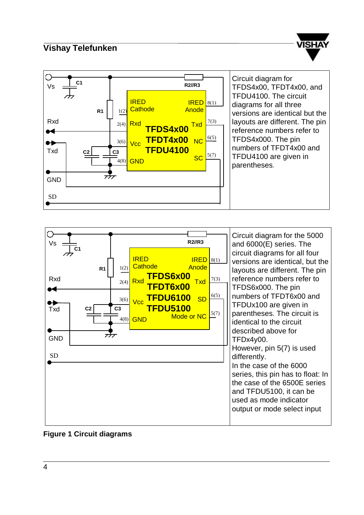





#### **Figure 1 Circuit diagrams**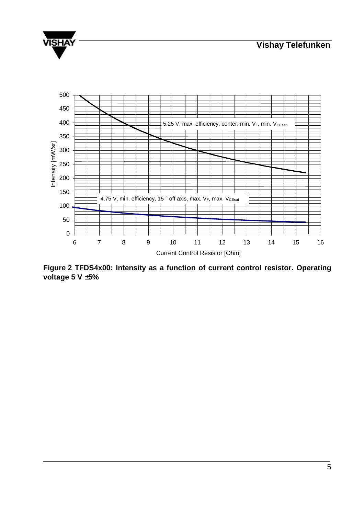



**Figure 2 TFDS4x00: Intensity as a function of current control resistor. Operating voltage 5 V ±5%**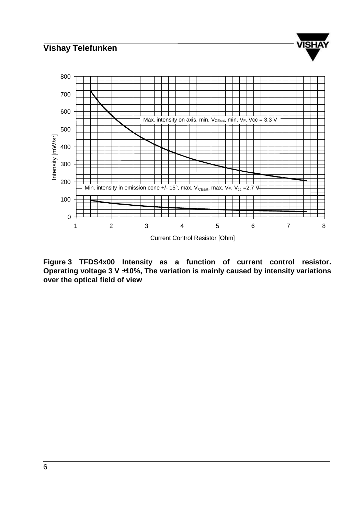

ISH/

**Figure 3 TFDS4x00 Intensity as a function of current control resistor. Operating voltage 3 V ±10%, The variation is mainly caused by intensity variations over the optical field of view**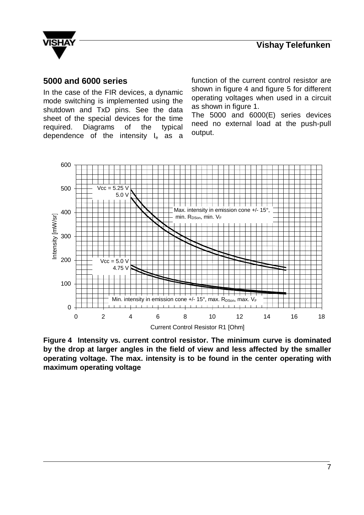

#### **5000 and 6000 series**

In the case of the FIR devices, a dynamic mode switching is implemented using the shutdown and TxD pins. See the data sheet of the special devices for the time required. Diagrams of the typical dependence of the intensity  $I_e$  as a function of the current control resistor are shown in figure 4 and figure 5 for different operating voltages when used in a circuit as shown in figure 1.

The 5000 and 6000(E) series devices need no external load at the push-pull output.



**Figure 4 Intensity vs. current control resistor. The minimum curve is dominated by the drop at larger angles in the field of view and less affected by the smaller operating voltage. The max. intensity is to be found in the center operating with maximum operating voltage**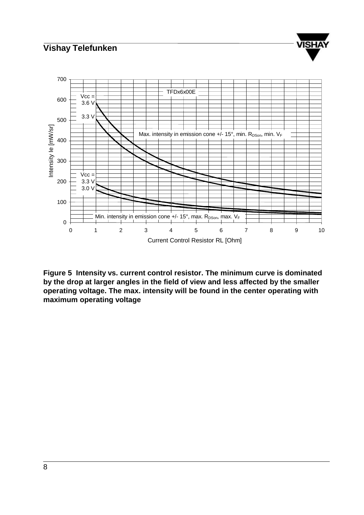

**Figure 5 Intensity vs. current control resistor. The minimum curve is dominated by the drop at larger angles in the field of view and less affected by the smaller operating voltage. The max. intensity will be found in the center operating with maximum operating voltage**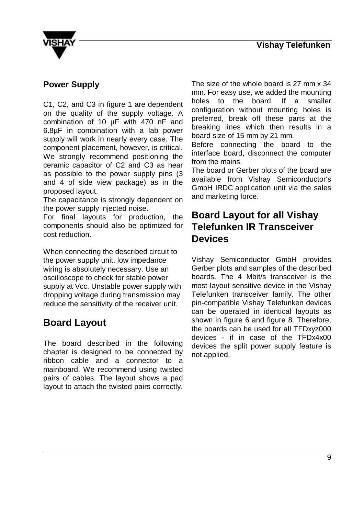

#### **Power Supply**

C1, C2, and C3 in figure 1 are dependent on the quality of the supply voltage. A combination of 10 µF with 470 nF and 6.8µF in combination with a lab power supply will work in nearly every case. The component placement, however, is critical. We strongly recommend positioning the ceramic capacitor of C2 and C3 as near as possible to the power supply pins (3 and 4 of side view package) as in the proposed layout.

The capacitance is strongly dependent on the power supply injected noise.

For final layouts for production, the components should also be optimized for cost reduction.

When connecting the described circuit to the power supply unit, low impedance wiring is absolutely necessary. Use an oscilloscope to check for stable power supply at Vcc. Unstable power supply with dropping voltage during transmission may reduce the sensitivity of the receiver unit.

## **Board Layout**

The board described in the following chapter is designed to be connected by ribbon cable and a connector to a mainboard. We recommend using twisted pairs of cables. The layout shows a pad layout to attach the twisted pairs correctly.

The size of the whole board is 27 mm x 34 mm. For easy use, we added the mounting holes to the board. If a smaller configuration without mounting holes is preferred, break off these parts at the breaking lines which then results in a board size of 15 mm by 21 mm.

Before connecting the board to the interface board, disconnect the computer from the mains.

The board or Gerber plots of the board are available from Vishay Semiconductor's GmbH IRDC application unit via the sales and marketing force.

### **Board Layout for all Vishay Telefunken IR Transceiver Devices**

Vishay Semiconductor GmbH provides Gerber plots and samples of the described boards. The 4 Mbit/s transceiver is the most layout sensitive device in the Vishay Telefunken transceiver family. The other pin-compatible Vishay Telefunken devices can be operated in identical layouts as shown in figure 6 and figure 8. Therefore, the boards can be used for all TFDxyz000 devices - if in case of the TFDx4x00 devices the split power supply feature is not applied.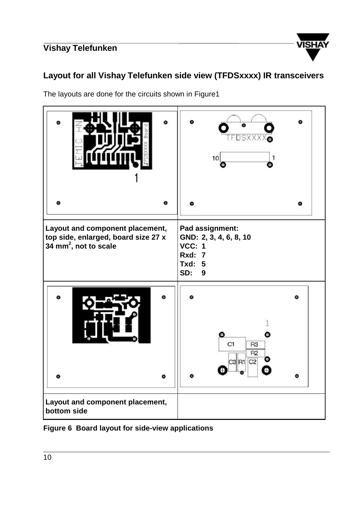

#### **Layout for all Vishay Telefunken side view (TFDSxxxx) IR transceivers**

The layouts are done for the circuits shown in Figure1



**Figure 6 Board layout for side-view applications**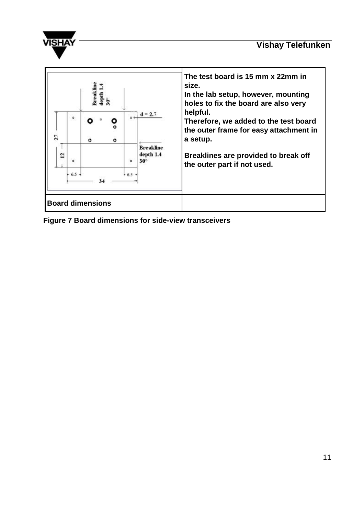





**Figure 7 Board dimensions for side-view transceivers**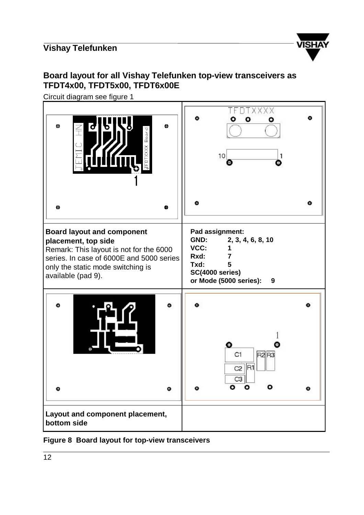

### **Board layout for all Vishay Telefunken top-view transceivers as TFDT4x00, TFDT5x00, TFDT6x00E**

Circuit diagram see figure 1



#### **Figure 8 Board layout for top-view transceivers**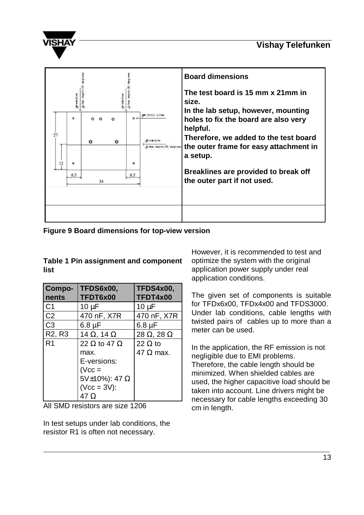

|    |               |    |   |          |                                        | <b>Board dimensions</b>                                                                                                                                                                                                                                                      |  |
|----|---------------|----|---|----------|----------------------------------------|------------------------------------------------------------------------------------------------------------------------------------------------------------------------------------------------------------------------------------------------------------------------------|--|
| 27 | 츸<br>۰<br>6.5 | ۰  | ۰ | ٠<br>6.5 | # Drill 2,7mm<br>A fan depth/30 degree | The test board is 15 mm x 21mm in<br>size.<br>In the lab setup, however, mounting<br>holes to fix the board are also very<br>helpful.<br>Therefore, we added to the test board<br>the outer frame for easy attachment in<br>a setup.<br>Breaklines are provided to break off |  |
|    |               | 34 |   |          |                                        | the outer part if not used.                                                                                                                                                                                                                                                  |  |
|    |               |    |   |          |                                        |                                                                                                                                                                                                                                                                              |  |

**Figure 9 Board dimensions for top-view version**

**Table 1 Pin assignment and component list**

| Compo-                          | TFDS6x00,                  | <b>TFDS4x00,</b>          |
|---------------------------------|----------------------------|---------------------------|
| nents                           | TFDT6x00                   | TFDT4x00                  |
| C <sub>1</sub>                  | $10 \mu F$                 | $10 \mu F$                |
| C <sub>2</sub>                  | 470 nF, X7R                | 470 nF, X7R               |
| C <sub>3</sub>                  | $6.8 \mu F$                | $6.8 \mu F$               |
| R <sub>2</sub> , R <sub>3</sub> | 14 $\Omega$ , 14 $\Omega$  | 28 $\Omega$ , 28 $\Omega$ |
| R <sub>1</sub>                  | 22 $\Omega$ to 47 $\Omega$ | 22 $\Omega$ to            |
|                                 | max.                       | 47 $\Omega$ max.          |
|                                 | E-versions:                |                           |
|                                 | $(Vcc =$                   |                           |
|                                 | 5V $\pm$ 10%): 47 $\Omega$ |                           |
|                                 | $(Vcc = 3V)$ :             |                           |
|                                 | 47 Ω                       |                           |

All SMD resistors are size 1206

In test setups under lab conditions, the resistor R1 is often not necessary.

However, it is recommended to test and optimize the system with the original application power supply under real application conditions.

The given set of components is suitable for TFDx6x00, TFDx4x00 and TFDS3000. Under lab conditions, cable lengths with twisted pairs of cables up to more than a meter can be used.

In the application, the RF emission is not negligible due to EMI problems. Therefore, the cable length should be minimized. When shielded cables are used, the higher capacitive load should be taken into account. Line drivers might be necessary for cable lengths exceeding 30 cm in length.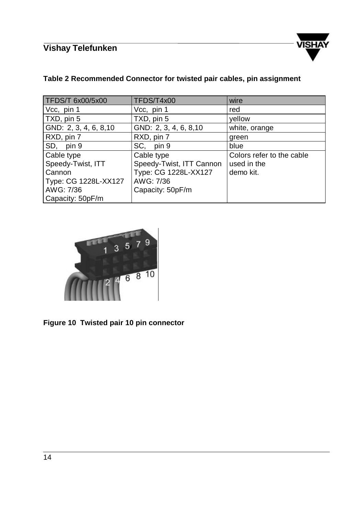

#### **Table 2 Recommended Connector for twisted pair cables, pin assignment**

| <b>TFDS/T 6x00/5x00</b> | TFDS/T4x00               | wire                      |
|-------------------------|--------------------------|---------------------------|
| Vcc, pin 1              | Vcc, pin 1               | red                       |
| TXD, pin 5              | TXD, pin 5               | yellow                    |
| GND: 2, 3, 4, 6, 8, 10  | GND: 2, 3, 4, 6, 8, 10   | white, orange             |
| RXD, pin 7              | RXD, pin 7               | green                     |
| SD, pin 9               | SC, pin 9                | blue                      |
| Cable type              | Cable type               | Colors refer to the cable |
| Speedy-Twist, ITT       | Speedy-Twist, ITT Cannon | used in the               |
| Cannon                  | Type: CG 1228L-XX127     | demo kit.                 |
| Type: CG 1228L-XX127    | AWG: 7/36                |                           |
| AWG: 7/36               | Capacity: 50pF/m         |                           |
| Capacity: 50pF/m        |                          |                           |



**Figure 10 Twisted pair 10 pin connector**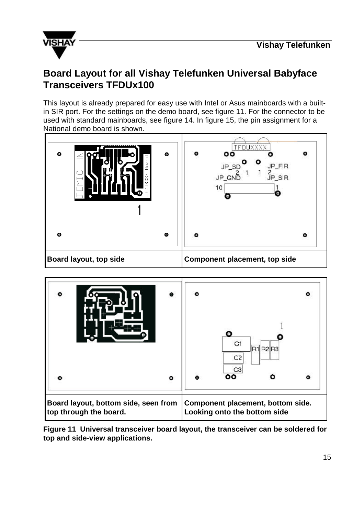

## **Board Layout for all Vishay Telefunken Universal Babyface Transceivers TFDUx100**

This layout is already prepared for easy use with Intel or Asus mainboards with a builtin SIR port. For the settings on the demo board, see figure 11. For the connector to be used with standard mainboards, see figure 14. In figure 15, the pin assignment for a National demo board is shown.





**Figure 11 Universal transceiver board layout, the transceiver can be soldered for top and side-view applications.**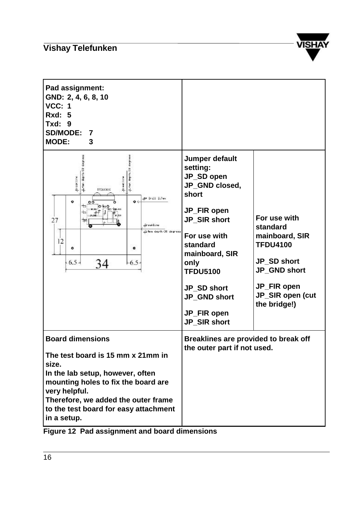

| Pad assignment:<br>GND: 2, 4, 6, 8, 10<br><b>VCC: 1</b><br><b>Rxd: 5</b><br><b>Txd: 9</b><br>SD/MODE: 7<br><b>MODE:</b><br>3                                                                                                                                     |                                                                                                                                                                                                                                           |                                                                                                                                                 |
|------------------------------------------------------------------------------------------------------------------------------------------------------------------------------------------------------------------------------------------------------------------|-------------------------------------------------------------------------------------------------------------------------------------------------------------------------------------------------------------------------------------------|-------------------------------------------------------------------------------------------------------------------------------------------------|
| A-tim depth/80 degrees<br><b>T-4se dept</b><br><b>Processing</b><br><b>Presidin</b><br>TFDUICONK<br># Drill 2.7mm<br>۰<br>$\bullet$<br>27<br>Breakline<br>A fan depth/30 degrees<br>12<br>۰<br>Ф<br>$-6.5 -$<br>$-6.5 -$<br>34                                   | Jumper default<br>setting:<br>JP_SD open<br>JP_GND closed,<br>short<br>JP_FIR open<br>JP_SIR short<br>For use with<br>standard<br>mainboard, SIR<br>only<br><b>TFDU5100</b><br>JP SD short<br>JP_GND short<br>JP_FIR open<br>JP_SIR short | For use with<br>standard<br>mainboard, SIR<br><b>TFDU4100</b><br>JP SD short<br>JP_GND short<br>JP_FIR open<br>JP_SIR open (cut<br>the bridge!) |
| <b>Board dimensions</b><br>The test board is 15 mm x 21mm in<br>size.<br>In the lab setup, however, often<br>mounting holes to fix the board are<br>very helpful.<br>Therefore, we added the outer frame<br>to the test board for easy attachment<br>in a setup. | Breaklines are provided to break off<br>the outer part if not used.                                                                                                                                                                       |                                                                                                                                                 |

**Figure 12 Pad assignment and board dimensions**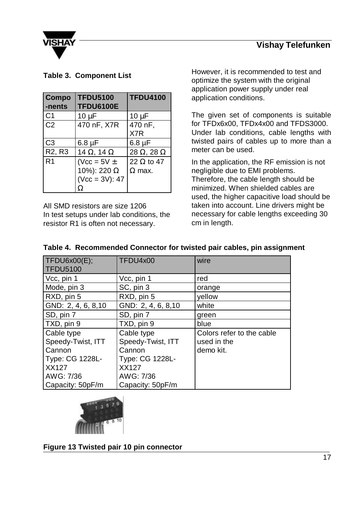

#### **Table 3. Component List**

| Compo<br>-nents                 | <b>TFDU5100</b><br><b>TFDU6100E</b>                     | <b>TFDU4100</b>                    |
|---------------------------------|---------------------------------------------------------|------------------------------------|
| C <sub>1</sub>                  | $10 \mu F$                                              | $10 \mu F$                         |
| C <sub>2</sub>                  | 470 nF, X7R                                             | 470 nF,<br>X7R                     |
| C <sub>3</sub>                  | $6.8 \mu F$                                             | $6.8 \mu F$                        |
| R <sub>2</sub> , R <sub>3</sub> | 14 $\Omega$ , 14 $\Omega$                               | 28 $\Omega$ , 28 $\Omega$          |
| R <sub>1</sub>                  | (Vcc = $5V \pm$<br>10%): 220 Ω<br>$(Vcc = 3V): 47$<br>Ω | 22 $\Omega$ to 47<br>$\Omega$ max. |

All SMD resistors are size 1206 In test setups under lab conditions, the resistor R1 is often not necessary.

However, it is recommended to test and optimize the system with the original application power supply under real application conditions.

The given set of components is suitable for TFDx6x00, TFDx4x00 and TFDS3000. Under lab conditions, cable lengths with twisted pairs of cables up to more than a meter can be used.

In the application, the RF emission is not negligible due to EMI problems. Therefore, the cable length should be minimized. When shielded cables are used, the higher capacitive load should be taken into account. Line drivers might be necessary for cable lengths exceeding 30 cm in length.

| TFDU6x00(E);<br><b>TFDU5100</b> | TFDU4x00            | wire                      |
|---------------------------------|---------------------|---------------------------|
| Vcc, pin 1                      | Vcc, pin 1          | red                       |
| Mode, pin 3                     | SC, pin 3           | orange                    |
| RXD, pin 5                      | RXD, pin 5          | yellow                    |
| GND: 2, 4, 6, 8, 10             | GND: 2, 4, 6, 8, 10 | white                     |
| SD, pin 7                       | SD, pin 7           | green                     |
| TXD, pin 9                      | TXD, pin 9          | blue                      |
| Cable type                      | Cable type          | Colors refer to the cable |
| Speedy-Twist, ITT               | Speedy-Twist, ITT   | used in the               |
| Cannon                          | Cannon              | demo kit.                 |
| Type: CG 1228L-                 | Type: CG 1228L-     |                           |
| <b>XX127</b>                    | <b>XX127</b>        |                           |
| AWG: 7/36                       | AWG: 7/36           |                           |
| Capacity: 50pF/m                | Capacity: 50pF/m    |                           |

#### **Table 4. Recommended Connector for twisted pair cables, pin assignment**



**Figure 13 Twisted pair 10 pin connector**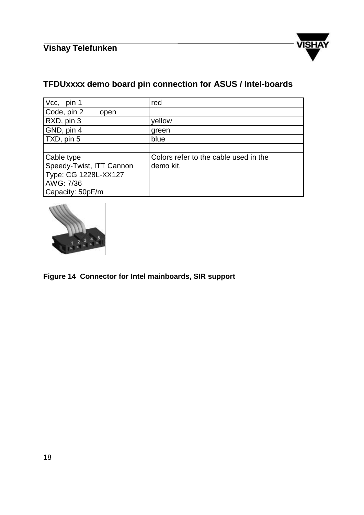

## **TFDUxxxx demo board pin connection for ASUS / Intel-boards**

| Vcc,<br>pin 1            | red                                   |
|--------------------------|---------------------------------------|
| Code, pin 2<br>open      |                                       |
| RXD, pin 3               | yellow                                |
| GND, pin 4               | green                                 |
| TXD, pin 5               | blue                                  |
|                          |                                       |
| Cable type               | Colors refer to the cable used in the |
| Speedy-Twist, ITT Cannon | demo kit.                             |
| Type: CG 1228L-XX127     |                                       |
| AWG: 7/36                |                                       |
| Capacity: 50pF/m         |                                       |



#### **Figure 14 Connector for Intel mainboards, SIR support**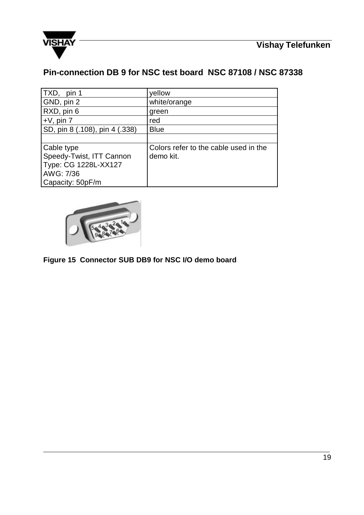



**Pin-connection DB 9 for NSC test board NSC 87108 / NSC 87338**

| TXD, pin 1                     | yellow                                |
|--------------------------------|---------------------------------------|
| GND, pin 2                     | white/orange                          |
| RXD, pin 6                     | green                                 |
| $+V$ , pin $7$                 | red                                   |
| SD, pin 8 (.108), pin 4 (.338) | <b>Blue</b>                           |
|                                |                                       |
| Cable type                     | Colors refer to the cable used in the |
| Speedy-Twist, ITT Cannon       | demo kit.                             |
| Type: CG 1228L-XX127           |                                       |
| AWG: 7/36                      |                                       |
| Capacity: 50pF/m               |                                       |



**Figure 15 Connector SUB DB9 for NSC I/O demo board**